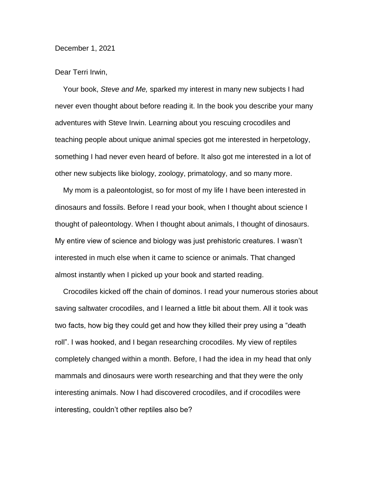## December 1, 2021

## Dear Terri Irwin,

Your book, *Steve and Me,* sparked my interest in many new subjects I had never even thought about before reading it. In the book you describe your many adventures with Steve Irwin. Learning about you rescuing crocodiles and teaching people about unique animal species got me interested in herpetology, something I had never even heard of before. It also got me interested in a lot of other new subjects like biology, zoology, primatology, and so many more.

My mom is a paleontologist, so for most of my life I have been interested in dinosaurs and fossils. Before I read your book, when I thought about science I thought of paleontology. When I thought about animals, I thought of dinosaurs. My entire view of science and biology was just prehistoric creatures. I wasn't interested in much else when it came to science or animals. That changed almost instantly when I picked up your book and started reading.

Crocodiles kicked off the chain of dominos. I read your numerous stories about saving saltwater crocodiles, and I learned a little bit about them. All it took was two facts, how big they could get and how they killed their prey using a "death roll". I was hooked, and I began researching crocodiles. My view of reptiles completely changed within a month. Before, I had the idea in my head that only mammals and dinosaurs were worth researching and that they were the only interesting animals. Now I had discovered crocodiles, and if crocodiles were interesting, couldn't other reptiles also be?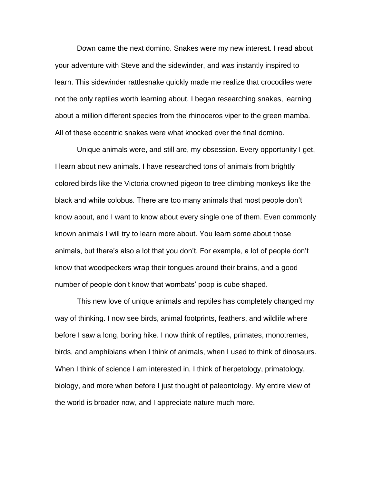Down came the next domino. Snakes were my new interest. I read about your adventure with Steve and the sidewinder, and was instantly inspired to learn. This sidewinder rattlesnake quickly made me realize that crocodiles were not the only reptiles worth learning about. I began researching snakes, learning about a million different species from the rhinoceros viper to the green mamba. All of these eccentric snakes were what knocked over the final domino.

Unique animals were, and still are, my obsession. Every opportunity I get, I learn about new animals. I have researched tons of animals from brightly colored birds like the Victoria crowned pigeon to tree climbing monkeys like the black and white colobus. There are too many animals that most people don't know about, and I want to know about every single one of them. Even commonly known animals I will try to learn more about. You learn some about those animals, but there's also a lot that you don't. For example, a lot of people don't know that woodpeckers wrap their tongues around their brains, and a good number of people don't know that wombats' poop is cube shaped.

This new love of unique animals and reptiles has completely changed my way of thinking. I now see birds, animal footprints, feathers, and wildlife where before I saw a long, boring hike. I now think of reptiles, primates, monotremes, birds, and amphibians when I think of animals, when I used to think of dinosaurs. When I think of science I am interested in, I think of herpetology, primatology, biology, and more when before I just thought of paleontology. My entire view of the world is broader now, and I appreciate nature much more.